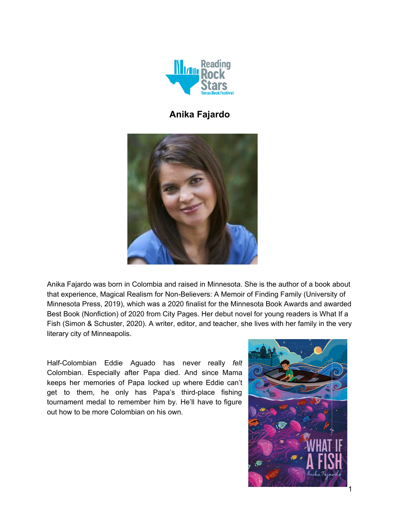

# **Anika Fajardo**



Anika Fajardo was born in Colombia and raised in Minnesota. She is the author of a book about that experience, Magical Realism for [Non-Believers:](https://www.anikafajardo.com/books) A Memoir of Finding Family (University of Minnesota Press, 2019), which was a 2020 finalist for the Minnesota Book Awards and awarded Best Book (Nonfiction) of 2020 from City Pages. Her debut novel for young readers is [What](https://www.whatifafish.com/) If a [Fish](https://www.whatifafish.com/) (Simon & Schuster, 2020). A writer, editor, and teacher, she lives with her family in the very literary city of Minneapolis.

Half-Colombian Eddie Aguado has never really *felt* Colombian. Especially after Papa died. And since Mama keeps her memories of Papa locked up where Eddie can't get to them, he only has Papa's third-place fishing tournament medal to remember him by. He'll have to figure out how to be more Colombian on his own.

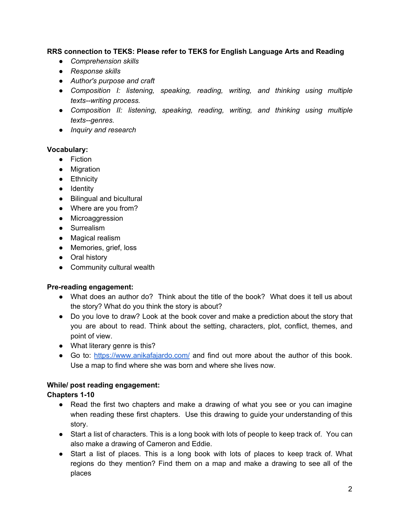## **RRS connection to TEKS: Please refer to TEKS for English Language Arts and Reading**

- *● Comprehension skills*
- *● Response skills*
- *● Author's purpose and craft*
- *● Composition I: listening, speaking, reading, writing, and thinking using multiple texts--writing process.*
- *● Composition II: listening, speaking, reading, writing, and thinking using multiple texts--genres.*
- *● Inquiry and research*

#### **Vocabulary:**

- Fiction
- Migration
- Ethnicity
- Identity
- Bilingual and bicultural
- Where are you from?
- Microaggression
- Surrealism
- Magical realism
- Memories, grief, loss
- Oral history
- Community cultural wealth

#### **Pre-reading engagement:**

- What does an author do? Think about the title of the book? What does it tell us about the story? What do you think the story is about?
- Do you love to draw? Look at the book cover and make a prediction about the story that you are about to read. Think about the setting, characters, plot, conflict, themes, and point of view.
- What literary genre is this?
- Go to: <https://www.anikafajardo.com/> and find out more about the author of this book. Use a map to find where she was born and where she lives now.

## **While/ post reading engagement:**

#### **Chapters 1-10**

- Read the first two chapters and make a drawing of what you see or you can imagine when reading these first chapters. Use this drawing to guide your understanding of this story.
- Start a list of characters. This is a long book with lots of people to keep track of. You can also make a drawing of Cameron and Eddie.
- Start a list of places. This is a long book with lots of places to keep track of. What regions do they mention? Find them on a map and make a drawing to see all of the places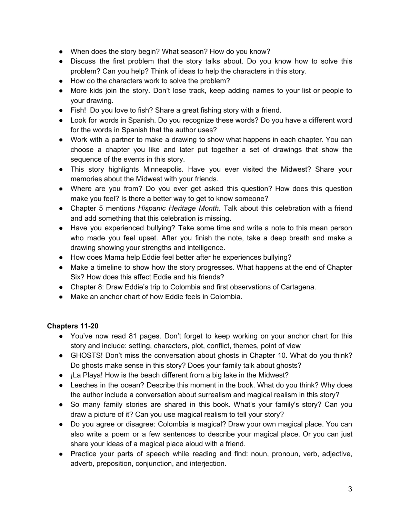- When does the story begin? What season? How do you know?
- Discuss the first problem that the story talks about. Do you know how to solve this problem? Can you help? Think of ideas to help the characters in this story.
- How do the characters work to solve the problem?
- More kids join the story. Don't lose track, keep adding names to your list or people to your drawing.
- Fish! Do you love to fish? Share a great fishing story with a friend.
- Look for words in Spanish. Do you recognize these words? Do you have a different word for the words in Spanish that the author uses?
- Work with a partner to make a drawing to show what happens in each chapter. You can choose a chapter you like and later put together a set of drawings that show the sequence of the events in this story.
- This story highlights Minneapolis. Have you ever visited the Midwest? Share your memories about the Midwest with your friends.
- Where are you from? Do you ever get asked this question? How does this question make you feel? Is there a better way to get to know someone?
- Chapter 5 mentions *Hispanic Heritage Month*. Talk about this celebration with a friend and add something that this celebration is missing.
- Have you experienced bullying? Take some time and write a note to this mean person who made you feel upset. After you finish the note, take a deep breath and make a drawing showing your strengths and intelligence.
- How does Mama help Eddie feel better after he experiences bullying?
- Make a timeline to show how the story progresses. What happens at the end of Chapter Six? How does this affect Eddie and his friends?
- Chapter 8: Draw Eddie's trip to Colombia and first observations of Cartagena.
- Make an anchor chart of how Eddie feels in Colombia.

## **Chapters 11-20**

- You've now read 81 pages. Don't forget to keep working on your anchor chart for this story and include: setting, characters, plot, conflict, themes, point of view
- GHOSTS! Don't miss the conversation about ghosts in Chapter 10. What do you think? Do ghosts make sense in this story? Does your family talk about ghosts?
- **¡La Playa! How is the beach different from a big lake in the Midwest?**
- Leeches in the ocean? Describe this moment in the book. What do you think? Why does the author include a conversation about surrealism and magical realism in this story?
- So many family stories are shared in this book. What's your family's story? Can you draw a picture of it? Can you use magical realism to tell your story?
- Do you agree or disagree: Colombia is magical? Draw your own magical place. You can also write a poem or a few sentences to describe your magical place. Or you can just share your ideas of a magical place aloud with a friend.
- Practice your parts of speech while reading and find: noun, pronoun, verb, adjective, adverb, preposition, conjunction, and interjection.